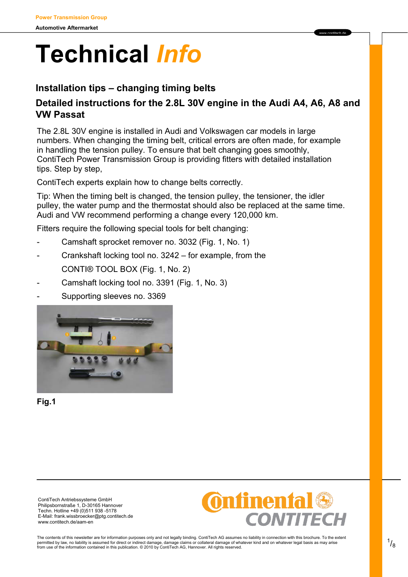# **Technical** *Info*

## **Installation tips – changing timing belts**

### **Detailed instructions for the 2.8L 30V engine in the Audi A4, A6, A8 and VW Passat**

www contitech de

The 2.8L 30V engine is installed in Audi and Volkswagen car models in large numbers. When changing the timing belt, critical errors are often made, for example in handling the tension pulley. To ensure that belt changing goes smoothly, ContiTech Power Transmission Group is providing fitters with detailed installation tips. Step by step,

ContiTech experts explain how to change belts correctly.

Tip: When the timing belt is changed, the tension pulley, the tensioner, the idler pulley, the water pump and the thermostat should also be replaced at the same time. Audi and VW recommend performing a change every 120,000 km.

Fitters require the following special tools for belt changing:

- Camshaft sprocket remover no. 3032 (Fig. 1, No. 1)
- Crankshaft locking tool no. 3242 for example, from the CONTI® TOOL BOX (Fig. 1, No. 2)
- Camshaft locking tool no. 3391 (Fig. 1, No. 3)
- Supporting sleeves no. 3369



**Fig.1** 

ContiTech Antriebssysteme GmbH Philipsbornstraße 1, D-30165 Hannover Techn. Hotline +49 (0)511 938 -5178 E-Mail: frank.wissbroecker@ptg.contitech.de www.contitech.de/aam-en



The contents of this newsletter are for information purposes only and not legally binding. ContiTech AG assumes no liability in connection with this brochure. To the extent<br>permitted by law, no liability is assumed for di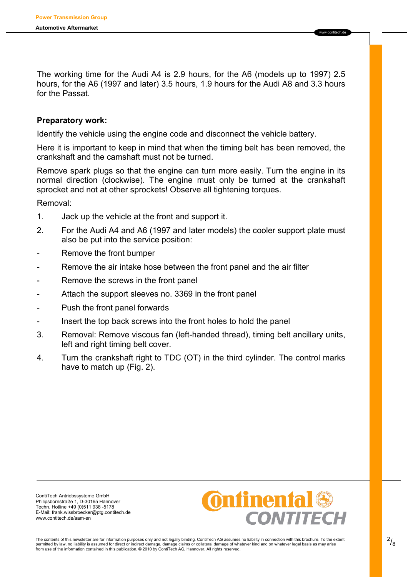The working time for the Audi A4 is 2.9 hours, for the A6 (models up to 1997) 2.5 hours, for the A6 (1997 and later) 3.5 hours, 1.9 hours for the Audi A8 and 3.3 hours for the Passat.

www.contitech.de

#### **Preparatory work:**

Identify the vehicle using the engine code and disconnect the vehicle battery.

Here it is important to keep in mind that when the timing belt has been removed, the crankshaft and the camshaft must not be turned.

Remove spark plugs so that the engine can turn more easily. Turn the engine in its normal direction (clockwise). The engine must only be turned at the crankshaft sprocket and not at other sprockets! Observe all tightening torques.

Removal:

- 1. Jack up the vehicle at the front and support it.
- 2. For the Audi A4 and A6 (1997 and later models) the cooler support plate must also be put into the service position:
- Remove the front bumper
- Remove the air intake hose between the front panel and the air filter
- Remove the screws in the front panel
- Attach the support sleeves no. 3369 in the front panel
- Push the front panel forwards
- Insert the top back screws into the front holes to hold the panel
- 3. Removal: Remove viscous fan (left-handed thread), timing belt ancillary units, left and right timing belt cover.
- 4. Turn the crankshaft right to TDC (OT) in the third cylinder. The control marks have to match up (Fig. 2).

ContiTech Antriebssysteme GmbH Philipsbornstraße 1, D-30165 Hannover Techn. Hotline +49 (0)511 938 -5178 E-Mail: frank.wissbroecker@ptg.contitech.de www.contitech.de/aam-en

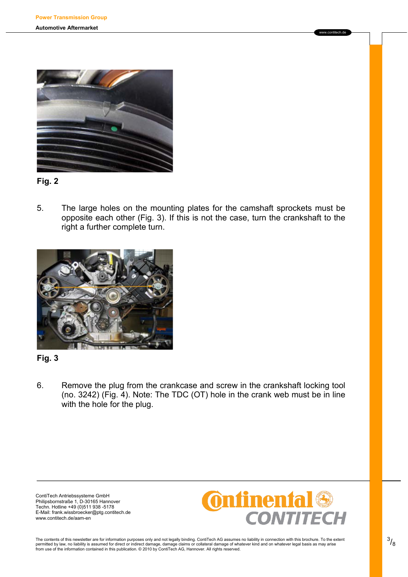



5. The large holes on the mounting plates for the camshaft sprockets must be opposite each other (Fig. 3). If this is not the case, turn the crankshaft to the right a further complete turn.



#### **Fig. 3**

6. Remove the plug from the crankcase and screw in the crankshaft locking tool (no. 3242) (Fig. 4). Note: The TDC (OT) hole in the crank web must be in line with the hole for the plug.

ContiTech Antriebssysteme GmbH Philipsbornstraße 1, D-30165 Hannover Techn. Hotline +49 (0)511 938 -5178 E-Mail: frank.wissbroecker@ptg.contitech.de www.contitech.de/aam-en



www.contitech.de

The contents of this newsletter are for information purposes only and not legally binding. ContiTech AG assumes no liability in connection with this brochure. To the extent<br>permitted by law, no liability is assumed for dir from use of the information contained in this publication. © 2010 by ContiTech AG, Hannover. All rights reserved.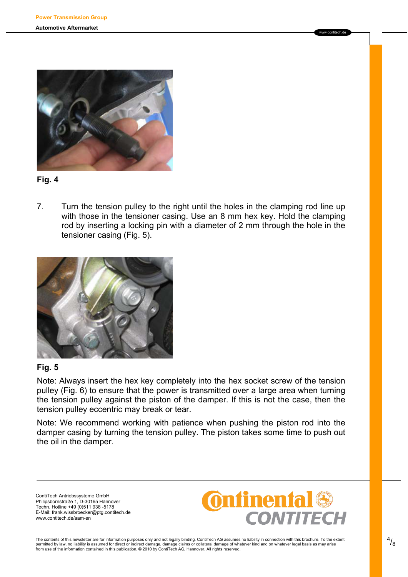



7. Turn the tension pulley to the right until the holes in the clamping rod line up with those in the tensioner casing. Use an 8 mm hex key. Hold the clamping rod by inserting a locking pin with a diameter of 2 mm through the hole in the tensioner casing (Fig. 5).



#### **Fig. 5**

Note: Always insert the hex key completely into the hex socket screw of the tension pulley (Fig. 6) to ensure that the power is transmitted over a large area when turning the tension pulley against the piston of the damper. If this is not the case, then the tension pulley eccentric may break or tear.

Note: We recommend working with patience when pushing the piston rod into the damper casing by turning the tension pulley. The piston takes some time to push out the oil in the damper.

ContiTech Antriebssysteme GmbH Philipsbornstraße 1, D-30165 Hannover Techn. Hotline +49 (0)511 938 -5178 E-Mail: frank.wissbroecker@ptg.contitech.de www.contitech.de/aam-en



www.contitech.de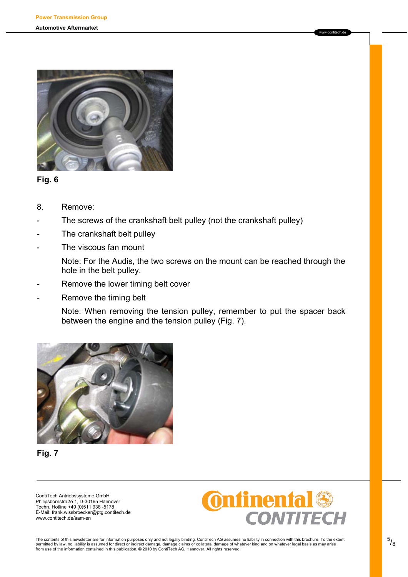

**Fig. 6** 

- 8. Remove:
- The screws of the crankshaft belt pulley (not the crankshaft pulley)
- The crankshaft belt pulley
- The viscous fan mount
	- Note: For the Audis, the two screws on the mount can be reached through the hole in the belt pulley.
- Remove the lower timing belt cover
- Remove the timing belt

Note: When removing the tension pulley, remember to put the spacer back between the engine and the tension pulley (Fig. 7).



**Fig. 7** 

ContiTech Antriebssysteme GmbH Philipsbornstraße 1, D-30165 Hannover Techn. Hotline +49 (0)511 938 -5178 E-Mail: frank.wissbroecker@ptg.contitech.de www.contitech.de/aam-en



www.contitech.de

The contents of this newsletter are for information purposes only and not legally binding. ContiTech AG assumes no liability in connection with this brochure. To the extent<br>permitted by law, no liability is assumed for dir from use of the information contained in this publication. © 2010 by ContiTech AG, Hannover. All rights reserved.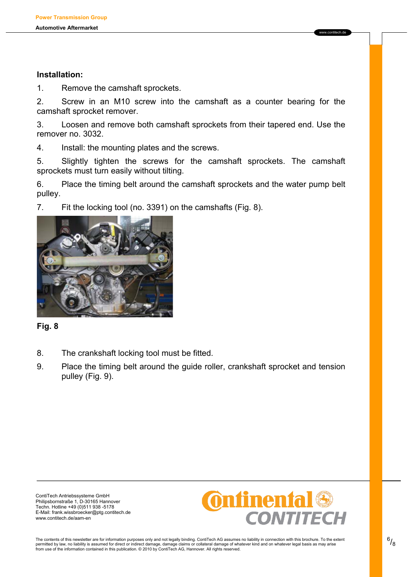#### **Installation:**

1. Remove the camshaft sprockets.

2. Screw in an M10 screw into the camshaft as a counter bearing for the camshaft sprocket remover.

3. Loosen and remove both camshaft sprockets from their tapered end. Use the remover no. 3032.

4. Install: the mounting plates and the screws.

5. Slightly tighten the screws for the camshaft sprockets. The camshaft sprockets must turn easily without tilting.

6. Place the timing belt around the camshaft sprockets and the water pump belt pulley.

7. Fit the locking tool (no. 3391) on the camshafts (Fig. 8).



#### **Fig. 8**

- 8. The crankshaft locking tool must be fitted.
- 9. Place the timing belt around the guide roller, crankshaft sprocket and tension pulley (Fig. 9).

ContiTech Antriebssysteme GmbH Philipsbornstraße 1, D-30165 Hannover Techn. Hotline +49 (0)511 938 -5178 E-Mail: frank.wissbroecker@ptg.contitech.de www.contitech.de/aam-en



www.contitech.de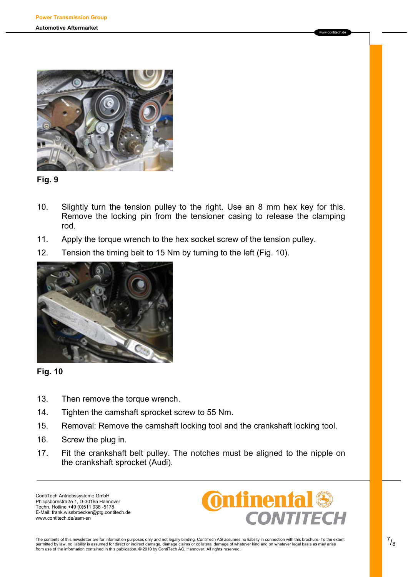



- 10. Slightly turn the tension pulley to the right. Use an 8 mm hex key for this. Remove the locking pin from the tensioner casing to release the clamping rod.
- 11. Apply the torque wrench to the hex socket screw of the tension pulley.
- 12. Tension the timing belt to 15 Nm by turning to the left (Fig. 10).





- 13. Then remove the torque wrench.
- 14. Tighten the camshaft sprocket screw to 55 Nm.
- 15. Removal: Remove the camshaft locking tool and the crankshaft locking tool.
- 16. Screw the plug in.
- 17. Fit the crankshaft belt pulley. The notches must be aligned to the nipple on the crankshaft sprocket (Audi).

ContiTech Antriebssysteme GmbH Philipsbornstraße 1, D-30165 Hannover Techn. Hotline +49 (0)511 938 -5178 E-Mail: frank.wissbroecker@ptg.contitech.de www.contitech.de/aam-en



www.contitech.de